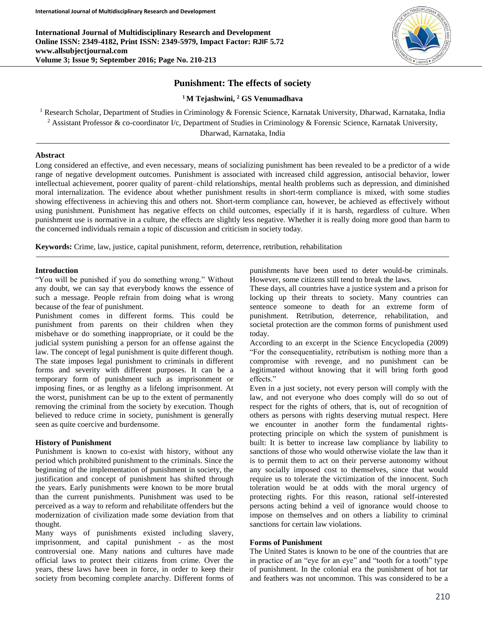**International Journal of Multidisciplinary Research and Development Online ISSN: 2349-4182, Print ISSN: 2349-5979, Impact Factor: RJIF 5.72 www.allsubjectjournal.com Volume 3; Issue 9; September 2016; Page No. 210-213**



# **Punishment: The effects of society**

## **<sup>1</sup>M Tejashwini, <sup>2</sup> GS Venumadhava**

<sup>1</sup> Research Scholar, Department of Studies in Criminology & Forensic Science, Karnatak University, Dharwad, Karnataka, India <sup>2</sup> Assistant Professor & co-coordinator I/c, Department of Studies in Criminology & Forensic Science, Karnatak University,

Dharwad, Karnataka, India

## **Abstract**

Long considered an effective, and even necessary, means of socializing punishment has been revealed to be a predictor of a wide range of negative development outcomes. Punishment is associated with increased child aggression, antisocial behavior, lower intellectual achievement, poorer quality of parent–child relationships, mental health problems such as depression, and diminished moral internalization. The evidence about whether punishment results in short-term compliance is mixed, with some studies showing effectiveness in achieving this and others not. Short-term compliance can, however, be achieved as effectively without using punishment. Punishment has negative effects on child outcomes, especially if it is harsh, regardless of culture. When punishment use is normative in a culture, the effects are slightly less negative. Whether it is really doing more good than harm to the concerned individuals remain a topic of discussion and criticism in society today.

**Keywords:** Crime, law, justice, capital punishment, reform, deterrence, retribution, rehabilitation

#### **Introduction**

"You will be punished if you do something wrong." Without any doubt, we can say that everybody knows the essence of such a message. People refrain from doing what is wrong because of the fear of punishment.

Punishment comes in different forms. This could be punishment from parents on their children when they misbehave or do something inappropriate, or it could be the judicial system punishing a person for an offense against the law. The concept of legal punishment is quite different though. The state imposes legal punishment to criminals in different forms and severity with different purposes. It can be a temporary form of punishment such as imprisonment or imposing fines, or as lengthy as a lifelong imprisonment. At the worst, punishment can be up to the extent of permanently removing the criminal from the society by execution. Though believed to reduce crime in society, punishment is generally seen as quite coercive and burdensome.

#### **History of Punishment**

Punishment is known to co-exist with history, without any period which prohibited punishment to the criminals. Since the beginning of the implementation of punishment in society, the justification and concept of punishment has shifted through the years. Early punishments were known to be more brutal than the current punishments. Punishment was used to be perceived as a way to reform and rehabilitate offenders but the modernization of civilization made some deviation from that thought.

Many ways of punishments existed including slavery, imprisonment, and capital punishment - as the most controversial one. Many nations and cultures have made official laws to protect their citizens from crime. Over the years, these laws have been in force, in order to keep their society from becoming complete anarchy. Different forms of punishments have been used to deter would-be criminals. However, some citizens still tend to break the laws.

These days, all countries have a justice system and a prison for locking up their threats to society. Many countries can sentence someone to death for an extreme form of punishment. Retribution, deterrence, rehabilitation, and societal protection are the common forms of punishment used today.

According to an excerpt in the Science Encyclopedia (2009) "For the consequentiality, retributism is nothing more than a compromise with revenge, and no punishment can be legitimated without knowing that it will bring forth good effects."

Even in a just society, not every person will comply with the law, and not everyone who does comply will do so out of respect for the rights of others, that is, out of recognition of others as persons with rights deserving mutual respect. Here we encounter in another form the fundamental rightsprotecting principle on which the system of punishment is built: It is better to increase law compliance by liability to sanctions of those who would otherwise violate the law than it is to permit them to act on their perverse autonomy without any socially imposed cost to themselves, since that would require us to tolerate the victimization of the innocent. Such toleration would be at odds with the moral urgency of protecting rights. For this reason, rational self-interested persons acting behind a veil of ignorance would choose to impose on themselves and on others a liability to criminal sanctions for certain law violations.

#### **Forms of Punishment**

The United States is known to be one of the countries that are in practice of an "eye for an eye" and "tooth for a tooth" type of punishment. In the colonial era the punishment of hot tar and feathers was not uncommon. This was considered to be a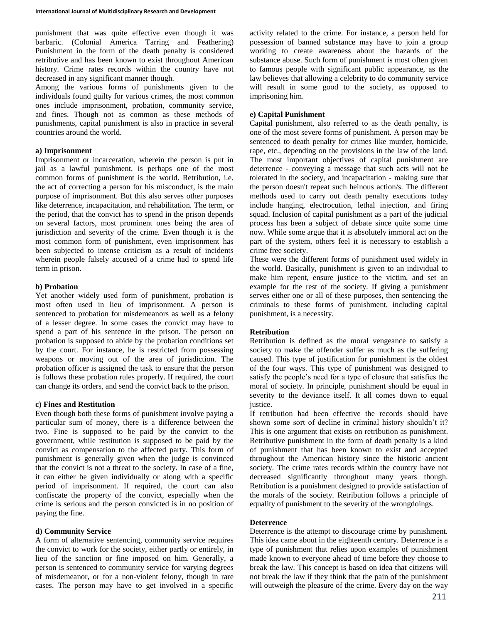punishment that was quite effective even though it was barbaric. (Colonial America Tarring and Feathering) Punishment in the form of the death penalty is considered retributive and has been known to exist throughout American history. Crime rates records within the country have not decreased in any significant manner though.

Among the various forms of punishments given to the individuals found guilty for various crimes, the most common ones include imprisonment, probation, community service, and fines. Though not as common as these methods of punishments, capital punishment is also in practice in several countries around the world.

#### **a) Imprisonment**

Imprisonment or incarceration, wherein the person is put in jail as a lawful punishment, is perhaps one of the most common forms of punishment is the world. Retribution, i.e. the act of correcting a person for his misconduct, is the main purpose of imprisonment. But this also serves other purposes like deterrence, incapacitation, and rehabilitation. The term, or the period, that the convict has to spend in the prison depends on several factors, most prominent ones being the area of jurisdiction and severity of the crime. Even though it is the most common form of punishment, even imprisonment has been subjected to intense criticism as a result of incidents wherein people falsely accused of a crime had to spend life term in prison.

### **b) Probation**

Yet another widely used form of punishment, probation is most often used in lieu of imprisonment. A person is sentenced to probation for misdemeanors as well as a felony of a lesser degree. In some cases the convict may have to spend a part of his sentence in the prison. The person on probation is supposed to abide by the probation conditions set by the court. For instance, he is restricted from possessing weapons or moving out of the area of jurisdiction. The probation officer is assigned the task to ensure that the person is follows these probation rules properly. If required, the court can change its orders, and send the convict back to the prison.

### **c) Fines and Restitution**

Even though both these forms of punishment involve paying a particular sum of money, there is a difference between the two. Fine is supposed to be paid by the convict to the government, while restitution is supposed to be paid by the convict as compensation to the affected party. This form of punishment is generally given when the judge is convinced that the convict is not a threat to the society. In case of a fine, it can either be given individually or along with a specific period of imprisonment. If required, the court can also confiscate the property of the convict, especially when the crime is serious and the person convicted is in no position of paying the fine.

### **d) Community Service**

A form of alternative sentencing, community service requires the convict to work for the society, either partly or entirely, in lieu of the sanction or fine imposed on him. Generally, a person is sentenced to community service for varying degrees of misdemeanor, or for a non-violent felony, though in rare cases. The person may have to get involved in a specific

activity related to the crime. For instance, a person held for possession of banned substance may have to join a group working to create awareness about the hazards of the substance abuse. Such form of punishment is most often given to famous people with significant public appearance, as the law believes that allowing a celebrity to do community service will result in some good to the society, as opposed to imprisoning him.

#### **e) Capital Punishment**

Capital punishment, also referred to as the death penalty, is one of the most severe forms of punishment. A person may be sentenced to death penalty for crimes like murder, homicide, rape, etc., depending on the provisions in the law of the land. The most important objectives of capital punishment are deterrence - conveying a message that such acts will not be tolerated in the society, and incapacitation - making sure that the person doesn't repeat such heinous action/s. The different methods used to carry out death penalty executions today include hanging, electrocution, lethal injection, and firing squad. Inclusion of capital punishment as a part of the judicial process has been a subject of debate since quite some time now. While some argue that it is absolutely immoral act on the part of the system, others feel it is necessary to establish a crime free society.

These were the different forms of punishment used widely in the world. Basically, punishment is given to an individual to make him repent, ensure justice to the victim, and set an example for the rest of the society. If giving a punishment serves either one or all of these purposes, then sentencing the criminals to these forms of punishment, including capital punishment, is a necessity.

### **Retribution**

Retribution is defined as the moral vengeance to satisfy a society to make the offender suffer as much as the suffering caused. This type of justification for punishment is the oldest of the four ways. This type of punishment was designed to satisfy the people's need for a type of closure that satisfies the moral of society. In principle, punishment should be equal in severity to the deviance itself. It all comes down to equal justice.

If retribution had been effective the records should have shown some sort of decline in criminal history shouldn't it? This is one argument that exists on retribution as punishment. Retributive punishment in the form of death penalty is a kind of punishment that has been known to exist and accepted throughout the American history since the historic ancient society. The crime rates records within the country have not decreased significantly throughout many years though. Retribution is a punishment designed to provide satisfaction of the morals of the society. Retribution follows a principle of equality of punishment to the severity of the wrongdoings.

### **Deterrence**

Deterrence is the attempt to discourage crime by punishment. This idea came about in the eighteenth century. Deterrence is a type of punishment that relies upon examples of punishment made known to everyone ahead of time before they choose to break the law. This concept is based on idea that citizens will not break the law if they think that the pain of the punishment will outweigh the pleasure of the crime. Every day on the way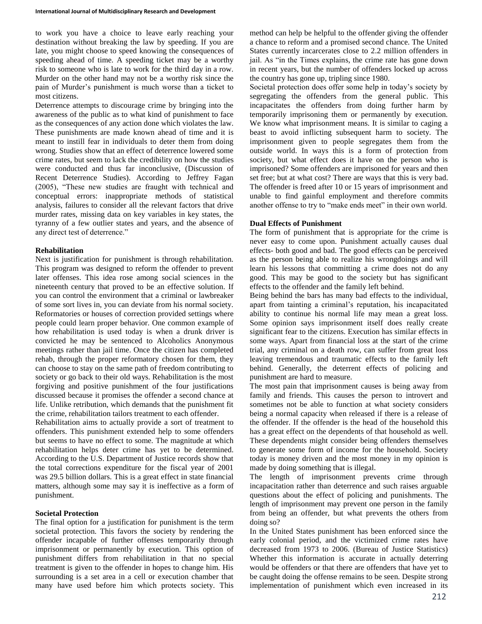to work you have a choice to leave early reaching your destination without breaking the law by speeding. If you are late, you might choose to speed knowing the consequences of speeding ahead of time. A speeding ticket may be a worthy risk to someone who is late to work for the third day in a row. Murder on the other hand may not be a worthy risk since the pain of Murder's punishment is much worse than a ticket to most citizens.

Deterrence attempts to discourage crime by bringing into the awareness of the public as to what kind of punishment to face as the consequences of any action done which violates the law. These punishments are made known ahead of time and it is meant to instill fear in individuals to deter them from doing wrong. Studies show that an effect of deterrence lowered some crime rates, but seem to lack the credibility on how the studies were conducted and thus far inconclusive, (Discussion of Recent Deterrence Studies). According to Jeffrey Fagan (2005), "These new studies are fraught with technical and conceptual errors: inappropriate methods of statistical analysis, failures to consider all the relevant factors that drive murder rates, missing data on key variables in key states, the tyranny of a few outlier states and years, and the absence of any direct test of deterrence."

#### **Rehabilitation**

Next is justification for punishment is through rehabilitation. This program was designed to reform the offender to prevent later offenses. This idea rose among social sciences in the nineteenth century that proved to be an effective solution. If you can control the environment that a criminal or lawbreaker of some sort lives in, you can deviate from his normal society. Reformatories or houses of correction provided settings where people could learn proper behavior. One common example of how rehabilitation is used today is when a drunk driver is convicted he may be sentenced to Alcoholics Anonymous meetings rather than jail time. Once the citizen has completed rehab, through the proper reformatory chosen for them, they can choose to stay on the same path of freedom contributing to society or go back to their old ways. Rehabilitation is the most forgiving and positive punishment of the four justifications discussed because it promises the offender a second chance at life. Unlike retribution, which demands that the punishment fit the crime, rehabilitation tailors treatment to each offender.

Rehabilitation aims to actually provide a sort of treatment to offenders. This punishment extended help to some offenders but seems to have no effect to some. The magnitude at which rehabilitation helps deter crime has yet to be determined. According to the U.S. Department of Justice records show that the total corrections expenditure for the fiscal year of 2001 was 29.5 billion dollars. This is a great effect in state financial matters, although some may say it is ineffective as a form of punishment.

### **Societal Protection**

The final option for a justification for punishment is the term societal protection. This favors the society by rendering the offender incapable of further offenses temporarily through imprisonment or permanently by execution. This option of punishment differs from rehabilitation in that no special treatment is given to the offender in hopes to change him. His surrounding is a set area in a cell or execution chamber that many have used before him which protects society. This method can help be helpful to the offender giving the offender a chance to reform and a promised second chance. The United States currently incarcerates close to 2.2 million offenders in jail. As "in the Times explains, the crime rate has gone down in recent years, but the number of offenders locked up across the country has gone up, tripling since 1980.

Societal protection does offer some help in today's society by segregating the offenders from the general public. This incapacitates the offenders from doing further harm by temporarily imprisoning them or permanently by execution. We know what imprisonment means. It is similar to caging a beast to avoid inflicting subsequent harm to society. The imprisonment given to people segregates them from the outside world. In ways this is a form of protection from society, but what effect does it have on the person who is imprisoned? Some offenders are imprisoned for years and then set free; but at what cost? There are ways that this is very bad. The offender is freed after 10 or 15 years of imprisonment and unable to find gainful employment and therefore commits another offense to try to "make ends meet" in their own world.

# **Dual Effects of Punishment**

The form of punishment that is appropriate for the crime is never easy to come upon. Punishment actually causes dual effects- both good and bad. The good effects can be perceived as the person being able to realize his wrongdoings and will learn his lessons that committing a crime does not do any good. This may be good to the society but has significant effects to the offender and the family left behind.

Being behind the bars has many bad effects to the individual, apart from tainting a criminal's reputation, his incapacitated ability to continue his normal life may mean a great loss. Some opinion says imprisonment itself does really create significant fear to the citizens. Execution has similar effects in some ways. Apart from financial loss at the start of the crime trial, any criminal on a death row, can suffer from great loss leaving tremendous and traumatic effects to the family left behind. Generally, the deterrent effects of policing and punishment are hard to measure.

The most pain that imprisonment causes is being away from family and friends. This causes the person to introvert and sometimes not be able to function at what society considers being a normal capacity when released if there is a release of the offender. If the offender is the head of the household this has a great effect on the dependents of that household as well. These dependents might consider being offenders themselves to generate some form of income for the household. Society today is money driven and the most money in my opinion is made by doing something that is illegal.

The length of imprisonment prevents crime through incapacitation rather than deterrence and such raises arguable questions about the effect of policing and punishments. The length of imprisonment may prevent one person in the family from being an offender, but what prevents the others from doing so?

In the United States punishment has been enforced since the early colonial period, and the victimized crime rates have decreased from 1973 to 2006. (Bureau of Justice Statistics) Whether this information is accurate in actually deterring would be offenders or that there are offenders that have yet to be caught doing the offense remains to be seen. Despite strong implementation of punishment which even increased in its